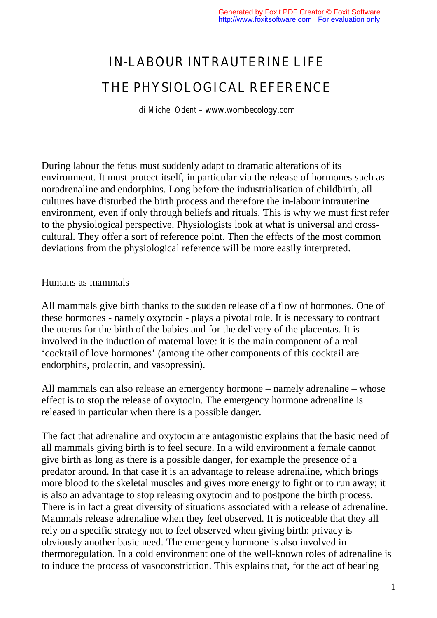## IN-LABOUR INTRAUTERINE LIFE THE PHYSIOLOGICAL REFERENCE

*di Michel Odent* – www.wombecology.com

During labour the fetus must suddenly adapt to dramatic alterations of its environment. It must protect itself, in particular via the release of hormones such as noradrenaline and endorphins. Long before the industrialisation of childbirth, all cultures have disturbed the birth process and therefore the in-labour intrauterine environment, even if only through beliefs and rituals. This is why we must first refer to the physiological perspective. Physiologists look at what is universal and crosscultural. They offer a sort of reference point. Then the effects of the most common deviations from the physiological reference will be more easily interpreted.

Humans as mammals

All mammals give birth thanks to the sudden release of a flow of hormones. One of these hormones - namely oxytocin - plays a pivotal role. It is necessary to contract the uterus for the birth of the babies and for the delivery of the placentas. It is involved in the induction of maternal love: it is the main component of a real 'cocktail of love hormones' (among the other components of this cocktail are endorphins, prolactin, and vasopressin).

All mammals can also release an emergency hormone – namely adrenaline – whose effect is to stop the release of oxytocin. The emergency hormone adrenaline is released in particular when there is a possible danger.

The fact that adrenaline and oxytocin are antagonistic explains that the basic need of all mammals giving birth is to feel secure. In a wild environment a female cannot give birth as long as there is a possible danger, for example the presence of a predator around. In that case it is an advantage to release adrenaline, which brings more blood to the skeletal muscles and gives more energy to fight or to run away; it is also an advantage to stop releasing oxytocin and to postpone the birth process. There is in fact a great diversity of situations associated with a release of adrenaline. Mammals release adrenaline when they feel observed. It is noticeable that they all rely on a specific strategy not to feel observed when giving birth: privacy is obviously another basic need. The emergency hormone is also involved in thermoregulation. In a cold environment one of the well-known roles of adrenaline is to induce the process of vasoconstriction. This explains that, for the act of bearing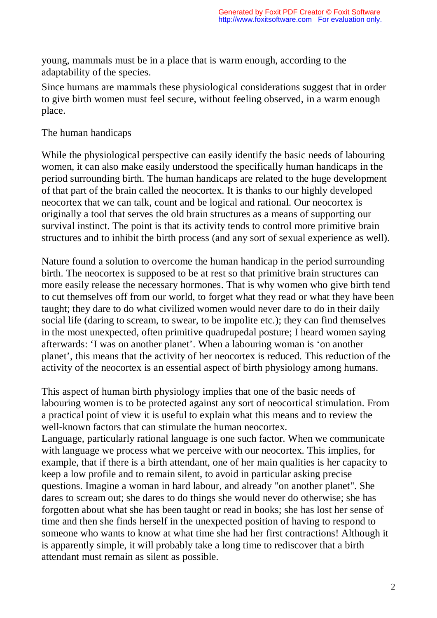young, mammals must be in a place that is warm enough, according to the adaptability of the species.

Since humans are mammals these physiological considerations suggest that in order to give birth women must feel secure, without feeling observed, in a warm enough place.

## The human handicaps

While the physiological perspective can easily identify the basic needs of labouring women, it can also make easily understood the specifically human handicaps in the period surrounding birth. The human handicaps are related to the huge development of that part of the brain called the neocortex. It is thanks to our highly developed neocortex that we can talk, count and be logical and rational. Our neocortex is originally a tool that serves the old brain structures as a means of supporting our survival instinct. The point is that its activity tends to control more primitive brain structures and to inhibit the birth process (and any sort of sexual experience as well).

Nature found a solution to overcome the human handicap in the period surrounding birth. The neocortex is supposed to be at rest so that primitive brain structures can more easily release the necessary hormones. That is why women who give birth tend to cut themselves off from our world, to forget what they read or what they have been taught; they dare to do what civilized women would never dare to do in their daily social life (daring to scream, to swear, to be impolite etc.); they can find themselves in the most unexpected, often primitive quadrupedal posture; I heard women saying afterwards: 'I was on another planet'. When a labouring woman is 'on another planet', this means that the activity of her neocortex is reduced. This reduction of the activity of the neocortex is an essential aspect of birth physiology among humans.

This aspect of human birth physiology implies that one of the basic needs of labouring women is to be protected against any sort of neocortical stimulation. From a practical point of view it is useful to explain what this means and to review the well-known factors that can stimulate the human neocortex. Language, particularly rational language is one such factor. When we communicate with language we process what we perceive with our neocortex. This implies, for example, that if there is a birth attendant, one of her main qualities is her capacity to keep a low profile and to remain silent, to avoid in particular asking precise questions. Imagine a woman in hard labour, and already "on another planet". She dares to scream out; she dares to do things she would never do otherwise; she has

forgotten about what she has been taught or read in books; she has lost her sense of time and then she finds herself in the unexpected position of having to respond to someone who wants to know at what time she had her first contractions! Although it is apparently simple, it will probably take a long time to rediscover that a birth attendant must remain as silent as possible.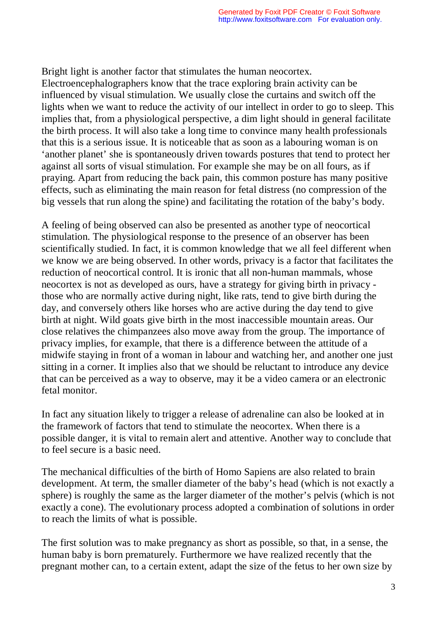Bright light is another factor that stimulates the human neocortex.

Electroencephalographers know that the trace exploring brain activity can be influenced by visual stimulation. We usually close the curtains and switch off the lights when we want to reduce the activity of our intellect in order to go to sleep. This implies that, from a physiological perspective, a dim light should in general facilitate the birth process. It will also take a long time to convince many health professionals that this is a serious issue. It is noticeable that as soon as a labouring woman is on 'another planet' she is spontaneously driven towards postures that tend to protect her against all sorts of visual stimulation. For example she may be on all fours, as if praying. Apart from reducing the back pain, this common posture has many positive effects, such as eliminating the main reason for fetal distress (no compression of the big vessels that run along the spine) and facilitating the rotation of the baby's body.

A feeling of being observed can also be presented as another type of neocortical stimulation. The physiological response to the presence of an observer has been scientifically studied. In fact, it is common knowledge that we all feel different when we know we are being observed. In other words, privacy is a factor that facilitates the reduction of neocortical control. It is ironic that all non-human mammals, whose neocortex is not as developed as ours, have a strategy for giving birth in privacy those who are normally active during night, like rats, tend to give birth during the day, and conversely others like horses who are active during the day tend to give birth at night. Wild goats give birth in the most inaccessible mountain areas. Our close relatives the chimpanzees also move away from the group. The importance of privacy implies, for example, that there is a difference between the attitude of a midwife staying in front of a woman in labour and watching her, and another one just sitting in a corner. It implies also that we should be reluctant to introduce any device that can be perceived as a way to observe, may it be a video camera or an electronic fetal monitor.

In fact any situation likely to trigger a release of adrenaline can also be looked at in the framework of factors that tend to stimulate the neocortex. When there is a possible danger, it is vital to remain alert and attentive. Another way to conclude that to feel secure is a basic need.

The mechanical difficulties of the birth of Homo Sapiens are also related to brain development. At term, the smaller diameter of the baby's head (which is not exactly a sphere) is roughly the same as the larger diameter of the mother's pelvis (which is not exactly a cone). The evolutionary process adopted a combination of solutions in order to reach the limits of what is possible.

The first solution was to make pregnancy as short as possible, so that, in a sense, the human baby is born prematurely. Furthermore we have realized recently that the pregnant mother can, to a certain extent, adapt the size of the fetus to her own size by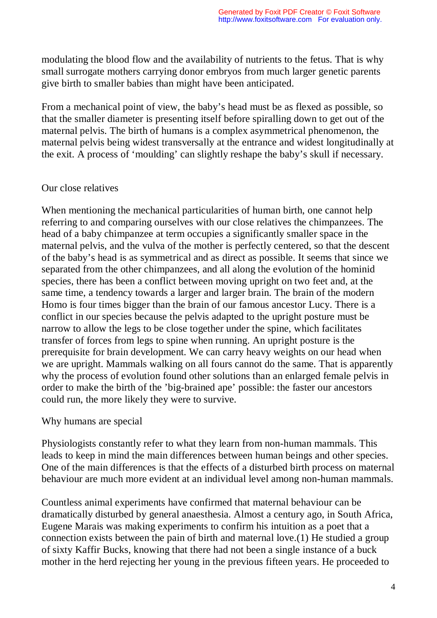modulating the blood flow and the availability of nutrients to the fetus. That is why small surrogate mothers carrying donor embryos from much larger genetic parents give birth to smaller babies than might have been anticipated.

From a mechanical point of view, the baby's head must be as flexed as possible, so that the smaller diameter is presenting itself before spiralling down to get out of the maternal pelvis. The birth of humans is a complex asymmetrical phenomenon, the maternal pelvis being widest transversally at the entrance and widest longitudinally at the exit. A process of 'moulding' can slightly reshape the baby's skull if necessary.

## Our close relatives

When mentioning the mechanical particularities of human birth, one cannot help referring to and comparing ourselves with our close relatives the chimpanzees. The head of a baby chimpanzee at term occupies a significantly smaller space in the maternal pelvis, and the vulva of the mother is perfectly centered, so that the descent of the baby's head is as symmetrical and as direct as possible. It seems that since we separated from the other chimpanzees, and all along the evolution of the hominid species, there has been a conflict between moving upright on two feet and, at the same time, a tendency towards a larger and larger brain. The brain of the modern Homo is four times bigger than the brain of our famous ancestor Lucy. There is a conflict in our species because the pelvis adapted to the upright posture must be narrow to allow the legs to be close together under the spine, which facilitates transfer of forces from legs to spine when running. An upright posture is the prerequisite for brain development. We can carry heavy weights on our head when we are upright. Mammals walking on all fours cannot do the same. That is apparently why the process of evolution found other solutions than an enlarged female pelvis in order to make the birth of the 'big-brained ape' possible: the faster our ancestors could run, the more likely they were to survive.

## Why humans are special

Physiologists constantly refer to what they learn from non-human mammals. This leads to keep in mind the main differences between human beings and other species. One of the main differences is that the effects of a disturbed birth process on maternal behaviour are much more evident at an individual level among non-human mammals.

Countless animal experiments have confirmed that maternal behaviour can be dramatically disturbed by general anaesthesia. Almost a century ago, in South Africa, Eugene Marais was making experiments to confirm his intuition as a poet that a connection exists between the pain of birth and maternal love.(1) He studied a group of sixty Kaffir Bucks, knowing that there had not been a single instance of a buck mother in the herd rejecting her young in the previous fifteen years. He proceeded to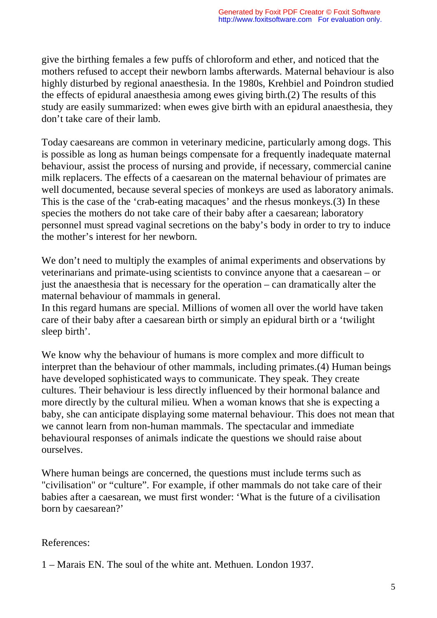give the birthing females a few puffs of chloroform and ether, and noticed that the mothers refused to accept their newborn lambs afterwards. Maternal behaviour is also highly disturbed by regional anaesthesia. In the 1980s, Krehbiel and Poindron studied the effects of epidural anaesthesia among ewes giving birth.(2) The results of this study are easily summarized: when ewes give birth with an epidural anaesthesia, they don't take care of their lamb.

Today caesareans are common in veterinary medicine, particularly among dogs. This is possible as long as human beings compensate for a frequently inadequate maternal behaviour, assist the process of nursing and provide, if necessary, commercial canine milk replacers. The effects of a caesarean on the maternal behaviour of primates are well documented, because several species of monkeys are used as laboratory animals. This is the case of the 'crab-eating macaques' and the rhesus monkeys.(3) In these species the mothers do not take care of their baby after a caesarean; laboratory personnel must spread vaginal secretions on the baby's body in order to try to induce the mother's interest for her newborn.

We don't need to multiply the examples of animal experiments and observations by veterinarians and primate-using scientists to convince anyone that a caesarean – or just the anaesthesia that is necessary for the operation – can dramatically alter the maternal behaviour of mammals in general.

In this regard humans are special. Millions of women all over the world have taken care of their baby after a caesarean birth or simply an epidural birth or a 'twilight sleep birth'.

We know why the behaviour of humans is more complex and more difficult to interpret than the behaviour of other mammals, including primates.(4) Human beings have developed sophisticated ways to communicate. They speak. They create cultures. Their behaviour is less directly influenced by their hormonal balance and more directly by the cultural milieu. When a woman knows that she is expecting a baby, she can anticipate displaying some maternal behaviour. This does not mean that we cannot learn from non-human mammals. The spectacular and immediate behavioural responses of animals indicate the questions we should raise about ourselves.

Where human beings are concerned, the questions must include terms such as "civilisation" or "culture". For example, if other mammals do not take care of their babies after a caesarean, we must first wonder: 'What is the future of a civilisation born by caesarean?'

References:

1 – Marais EN. The soul of the white ant. Methuen. London 1937.